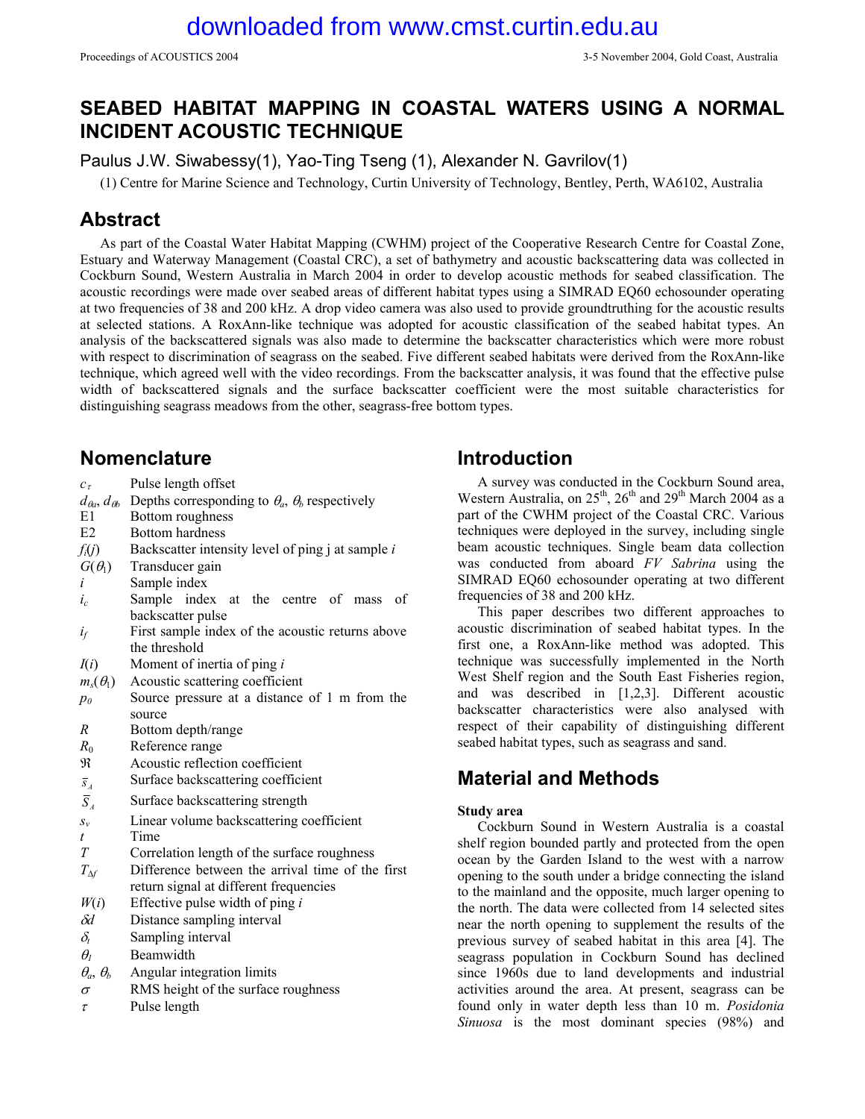# **SEABED HABITAT MAPPING IN COASTAL WATERS USING A NORMAL INCIDENT ACOUSTIC TECHNIQUE**

Paulus J.W. Siwabessy(1), Yao-Ting Tseng (1), Alexander N. Gavrilov(1)

(1) Centre for Marine Science and Technology, Curtin University of Technology, Bentley, Perth, WA6102, Australia

## **Abstract**

As part of the Coastal Water Habitat Mapping (CWHM) project of the Cooperative Research Centre for Coastal Zone, Estuary and Waterway Management (Coastal CRC), a set of bathymetry and acoustic backscattering data was collected in Cockburn Sound, Western Australia in March 2004 in order to develop acoustic methods for seabed classification. The acoustic recordings were made over seabed areas of different habitat types using a SIMRAD EQ60 echosounder operating at two frequencies of 38 and 200 kHz. A drop video camera was also used to provide groundtruthing for the acoustic results at selected stations. A RoxAnn-like technique was adopted for acoustic classification of the seabed habitat types. An analysis of the backscattered signals was also made to determine the backscatter characteristics which were more robust with respect to discrimination of seagrass on the seabed. Five different seabed habitats were derived from the RoxAnn-like technique, which agreed well with the video recordings. From the backscatter analysis, it was found that the effective pulse width of backscattered signals and the surface backscatter coefficient were the most suitable characteristics for distinguishing seagrass meadows from the other, seagrass-free bottom types.

## **Nomenclature**

- *c*τ Pulse length offset
- $d_{\theta a}$ ,  $d_{\theta b}$  Depths corresponding to  $\theta_a$ ,  $\theta_b$  respectively
- E1 Bottom roughness
- E2 Bottom hardness
- *fi*(*j*) Backscatter intensity level of ping j at sample *i*
- $G(\theta_1)$  Transducer gain
- *i* Sample index
- *ic* Sample index at the centre of mass of backscatter pulse
- $i_f$  First sample index of the acoustic returns above the threshold
- *I*(*i*) Moment of inertia of ping *i*
- $m_s(\theta_1)$  Acoustic scattering coefficient
- *p0* Source pressure at a distance of 1 m from the source
- *R* Bottom depth/range
- *R*0 Reference range
- ℜ Acoustic reflection coefficient
- $\overline{s}_4$  Surface backscattering coefficient
- $\overline{S}_4$  Surface backscattering strength
- *sv* Linear volume backscattering coefficient
- *t* Time
- *T* Correlation length of the surface roughness
- *T*<sup>∆</sup>*f* Difference between the arrival time of the first return signal at different frequencies
- $W(i)$  Effective pulse width of ping *i*
- δ*d* Distance sampling interval
- $\delta_t$  Sampling interval
- $\theta$ <sup>1</sup> **Beamwidth**
- $\theta_a$ ,  $\theta_b$  **Angular integration limits**
- $\sigma$  RMS height of the surface roughness
- $\tau$  Pulse length

# **Introduction**

A survey was conducted in the Cockburn Sound area, Western Australia, on  $25<sup>th</sup>$ ,  $26<sup>th</sup>$  and  $29<sup>th</sup>$  March 2004 as a part of the CWHM project of the Coastal CRC. Various techniques were deployed in the survey, including single beam acoustic techniques. Single beam data collection was conducted from aboard *FV Sabrina* using the SIMRAD EQ60 echosounder operating at two different frequencies of 38 and 200 kHz.

This paper describes two different approaches to acoustic discrimination of seabed habitat types. In the first one, a RoxAnn-like method was adopted. This technique was successfully implemented in the North West Shelf region and the South East Fisheries region, and was described in [1,2,3]. Different acoustic backscatter characteristics were also analysed with respect of their capability of distinguishing different seabed habitat types, such as seagrass and sand.

# **Material and Methods**

## **Study area**

Cockburn Sound in Western Australia is a coastal shelf region bounded partly and protected from the open ocean by the Garden Island to the west with a narrow opening to the south under a bridge connecting the island to the mainland and the opposite, much larger opening to the north. The data were collected from 14 selected sites near the north opening to supplement the results of the previous survey of seabed habitat in this area [4]. The seagrass population in Cockburn Sound has declined since 1960s due to land developments and industrial activities around the area. At present, seagrass can be found only in water depth less than 10 m. *Posidonia Sinuosa* is the most dominant species (98%) and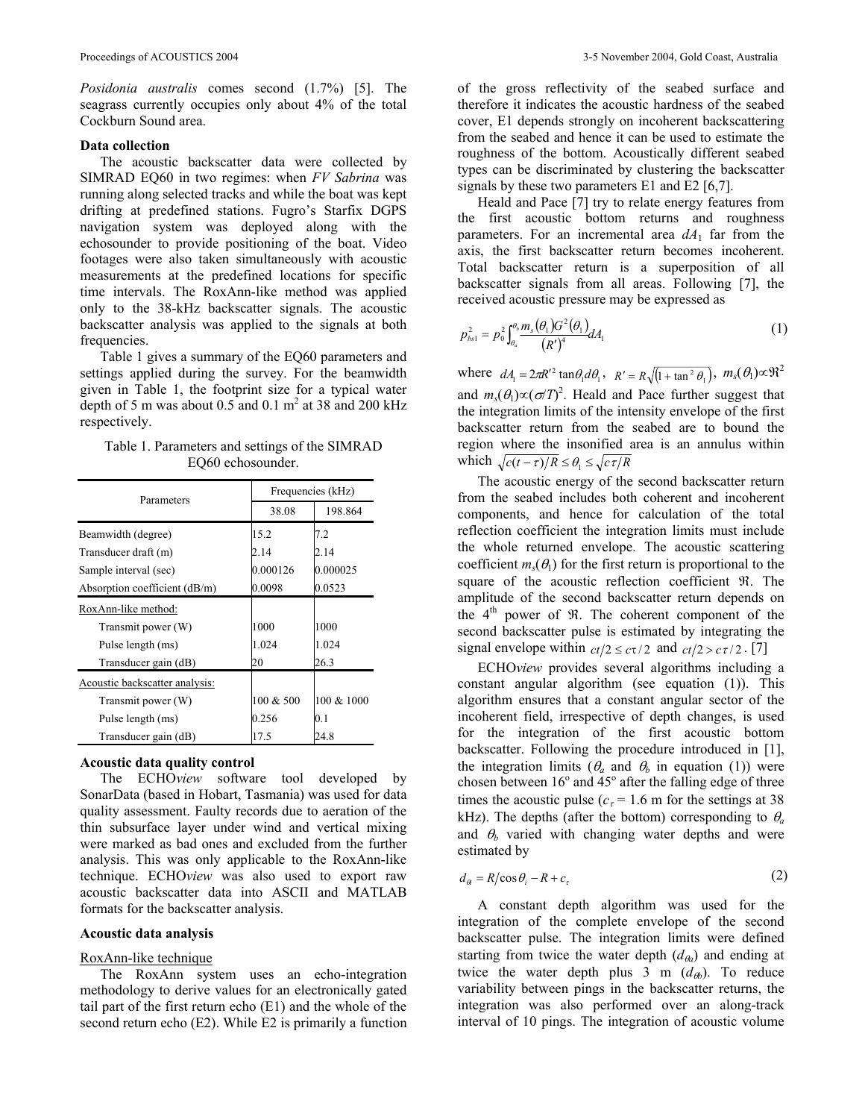*Posidonia australis* comes second (1.7%) [5]. The seagrass currently occupies only about 4% of the total Cockburn Sound area.

#### **Data collection**

The acoustic backscatter data were collected by SIMRAD EQ60 in two regimes: when *FV Sabrina* was running along selected tracks and while the boat was kept drifting at predefined stations. Fugro's Starfix DGPS navigation system was deployed along with the echosounder to provide positioning of the boat. Video footages were also taken simultaneously with acoustic measurements at the predefined locations for specific time intervals. The RoxAnn-like method was applied only to the 38-kHz backscatter signals. The acoustic backscatter analysis was applied to the signals at both frequencies.

Table 1 gives a summary of the EQ60 parameters and settings applied during the survey. For the beamwidth given in Table 1, the footprint size for a typical water depth of 5 m was about  $0.5$  and  $0.1 \text{ m}^2$  at 38 and 200 kHz respectively.

Table 1. Parameters and settings of the SIMRAD EQ60 echosounder.

| Parameters                     | Frequencies (kHz) |            |
|--------------------------------|-------------------|------------|
|                                | 38.08             | 198.864    |
| Beamwidth (degree)             | 15.2              | 7.2        |
| Transducer draft (m)           | 2.14              | 2.14       |
| Sample interval (sec)          | 0.000126          | 0.000025   |
| Absorption coefficient (dB/m)  | 0.0098            | 0.0523     |
| RoxAnn-like method:            |                   |            |
| Transmit power (W)             | 1000              | 1000       |
| Pulse length (ms)              | 1.024             | 1.024      |
| Transducer gain (dB)           | 20                | 26.3       |
| Acoustic backscatter analysis: |                   |            |
| Transmit power (W)             | 100 & 500         | 100 & 1000 |
| Pulse length (ms)              | 0.256             | 0.1        |
| Transducer gain (dB)           | 17.5              | 24.8       |

### **Acoustic data quality control**

The ECHO*view* software tool developed by SonarData (based in Hobart, Tasmania) was used for data quality assessment. Faulty records due to aeration of the thin subsurface layer under wind and vertical mixing were marked as bad ones and excluded from the further analysis. This was only applicable to the RoxAnn-like technique. ECHO*view* was also used to export raw acoustic backscatter data into ASCII and MATLAB formats for the backscatter analysis.

### **Acoustic data analysis**

### RoxAnn-like technique

The RoxAnn system uses an echo-integration methodology to derive values for an electronically gated tail part of the first return echo (E1) and the whole of the second return echo (E2). While E2 is primarily a function

of the gross reflectivity of the seabed surface and therefore it indicates the acoustic hardness of the seabed cover, E1 depends strongly on incoherent backscattering from the seabed and hence it can be used to estimate the roughness of the bottom. Acoustically different seabed types can be discriminated by clustering the backscatter signals by these two parameters E1 and E2 [6,7].

Heald and Pace [7] try to relate energy features from the first acoustic bottom returns and roughness parameters. For an incremental area  $dA_1$  far from the axis, the first backscatter return becomes incoherent. Total backscatter return is a superposition of all backscatter signals from all areas. Following [7], the received acoustic pressure may be expressed as

$$
p_{bs1}^2 = p_0^2 \int_{\theta_a}^{\theta_b} \frac{m_s(\theta_1) G^2(\theta_1)}{(R')^4} dA_1 \tag{1}
$$

where  $dA_1 = 2\pi R'^2 \tan\theta_1 d\theta_1$ ,  $R' = R\sqrt{\left(1 + \tan^2\theta_1\right)}$ ,  $m_s(\theta_1) \propto \mathfrak{R}^2$ and  $m_s(\theta_1) \propto (\sigma/T)^2$ . Heald and Pace further suggest that the integration limits of the intensity envelope of the first backscatter return from the seabed are to bound the region where the insonified area is an annulus within which  $\sqrt{c(t-\tau)/R} \leq \theta_1 \leq \sqrt{c \tau/R}$ 

The acoustic energy of the second backscatter return from the seabed includes both coherent and incoherent components, and hence for calculation of the total reflection coefficient the integration limits must include the whole returned envelope. The acoustic scattering coefficient  $m_s(\theta_1)$  for the first return is proportional to the square of the acoustic reflection coefficient **R**. The amplitude of the second backscatter return depends on the 4<sup>th</sup> power of  $\mathfrak{R}$ . The coherent component of the second backscatter pulse is estimated by integrating the signal envelope within  $ct/2 \leq ct/2$  and  $ct/2 > ct/2$ . [7]

ECHO*view* provides several algorithms including a constant angular algorithm (see equation (1)). This algorithm ensures that a constant angular sector of the incoherent field, irrespective of depth changes, is used for the integration of the first acoustic bottom backscatter. Following the procedure introduced in [1], the integration limits ( $\theta_a$  and  $\theta_b$  in equation (1)) were chosen between  $16^{\circ}$  and  $45^{\circ}$  after the falling edge of three times the acoustic pulse ( $c<sub>\tau</sub>$  = 1.6 m for the settings at 38 kHz). The depths (after the bottom) corresponding to  $\theta_a$ and  $\theta_h$  varied with changing water depths and were estimated by

$$
d_{\theta} = R/\cos\theta_i - R + c_{\tau} \tag{2}
$$

A constant depth algorithm was used for the integration of the complete envelope of the second backscatter pulse. The integration limits were defined starting from twice the water depth  $(d_{\theta a})$  and ending at twice the water depth plus 3 m  $(d_{\theta b})$ . To reduce variability between pings in the backscatter returns, the integration was also performed over an along-track interval of 10 pings. The integration of acoustic volume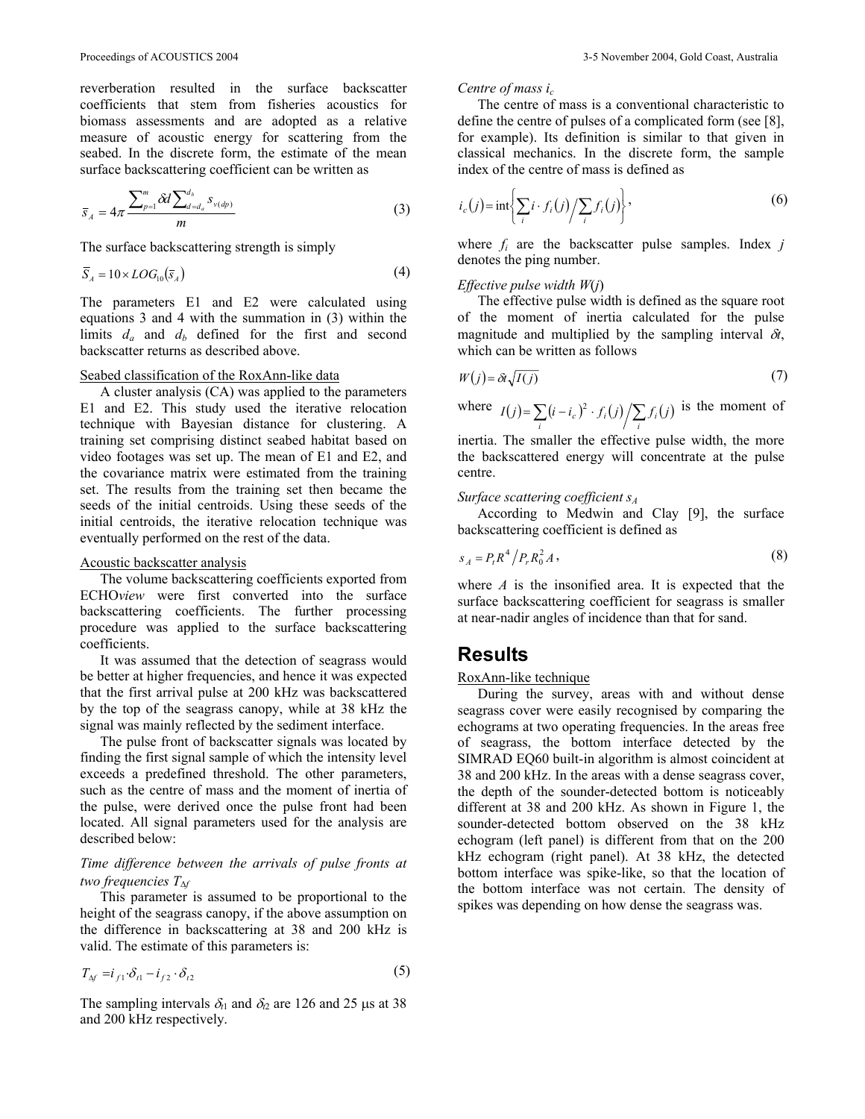reverberation resulted in the surface backscatter coefficients that stem from fisheries acoustics for biomass assessments and are adopted as a relative measure of acoustic energy for scattering from the seabed. In the discrete form, the estimate of the mean surface backscattering coefficient can be written as

$$
\overline{s}_A = 4\pi \frac{\sum_{p=1}^m \delta d \sum_{d=d_a}^{d_b} s_{\nu(d_p)}}{m}
$$
\n(3)

The surface backscattering strength is simply

$$
\overline{S}_A = 10 \times LOG_{10}(\overline{s}_A)
$$
 (4)

The parameters E1 and E2 were calculated using equations 3 and 4 with the summation in (3) within the limits  $d_a$  and  $d_b$  defined for the first and second backscatter returns as described above.

### Seabed classification of the RoxAnn-like data

A cluster analysis (CA) was applied to the parameters E1 and E2. This study used the iterative relocation technique with Bayesian distance for clustering. A training set comprising distinct seabed habitat based on video footages was set up. The mean of E1 and E2, and the covariance matrix were estimated from the training set. The results from the training set then became the seeds of the initial centroids. Using these seeds of the initial centroids, the iterative relocation technique was eventually performed on the rest of the data.

#### Acoustic backscatter analysis

The volume backscattering coefficients exported from ECHO*view* were first converted into the surface backscattering coefficients. The further processing procedure was applied to the surface backscattering coefficients.

It was assumed that the detection of seagrass would be better at higher frequencies, and hence it was expected that the first arrival pulse at 200 kHz was backscattered by the top of the seagrass canopy, while at 38 kHz the signal was mainly reflected by the sediment interface.

The pulse front of backscatter signals was located by finding the first signal sample of which the intensity level exceeds a predefined threshold. The other parameters, such as the centre of mass and the moment of inertia of the pulse, were derived once the pulse front had been located. All signal parameters used for the analysis are described below:

## *Time difference between the arrivals of pulse fronts at two frequencies T*<sup>∆</sup>*<sup>f</sup>*

This parameter is assumed to be proportional to the height of the seagrass canopy, if the above assumption on the difference in backscattering at 38 and 200 kHz is valid. The estimate of this parameters is:

$$
T_{\Delta f} = i_{f1} \cdot \delta_{t1} - i_{f2} \cdot \delta_{t2} \tag{5}
$$

The sampling intervals  $\delta_{t1}$  and  $\delta_{t2}$  are 126 and 25 µs at 38 and 200 kHz respectively.

#### *Centre of mass ic*

The centre of mass is a conventional characteristic to define the centre of pulses of a complicated form (see [8], for example). Its definition is similar to that given in classical mechanics. In the discrete form, the sample index of the centre of mass is defined as

$$
i_c(j) = \text{int}\left\{\sum_i i \cdot f_i(j) / \sum_i f_i(j)\right\},\tag{6}
$$

where  $f_i$  are the backscatter pulse samples. Index  $j$ denotes the ping number.

#### *Effective pulse width W*(*j*)

The effective pulse width is defined as the square root of the moment of inertia calculated for the pulse magnitude and multiplied by the sampling interval  $\delta t$ , which can be written as follows

$$
W(j) = \partial t \sqrt{I(j)}\tag{7}
$$

where  $I(j) = \sum_i (i - i_c)^2 \cdot f_i(j) / \sum_i f_i(j)$  is the moment of

inertia. The smaller the effective pulse width, the more the backscattered energy will concentrate at the pulse centre.

## *Surface scattering coefficient sA*

According to Medwin and Clay [9], the surface backscattering coefficient is defined as

$$
s_A = P_t R^4 / P_r R_0^2 A \,,\tag{8}
$$

where *A* is the insonified area. It is expected that the surface backscattering coefficient for seagrass is smaller at near-nadir angles of incidence than that for sand.

## **Results**

## RoxAnn-like technique

During the survey, areas with and without dense seagrass cover were easily recognised by comparing the echograms at two operating frequencies. In the areas free of seagrass, the bottom interface detected by the SIMRAD EQ60 built-in algorithm is almost coincident at 38 and 200 kHz. In the areas with a dense seagrass cover, the depth of the sounder-detected bottom is noticeably different at 38 and 200 kHz. As shown in Figure 1, the sounder-detected bottom observed on the 38 kHz echogram (left panel) is different from that on the 200 kHz echogram (right panel). At 38 kHz, the detected bottom interface was spike-like, so that the location of the bottom interface was not certain. The density of spikes was depending on how dense the seagrass was.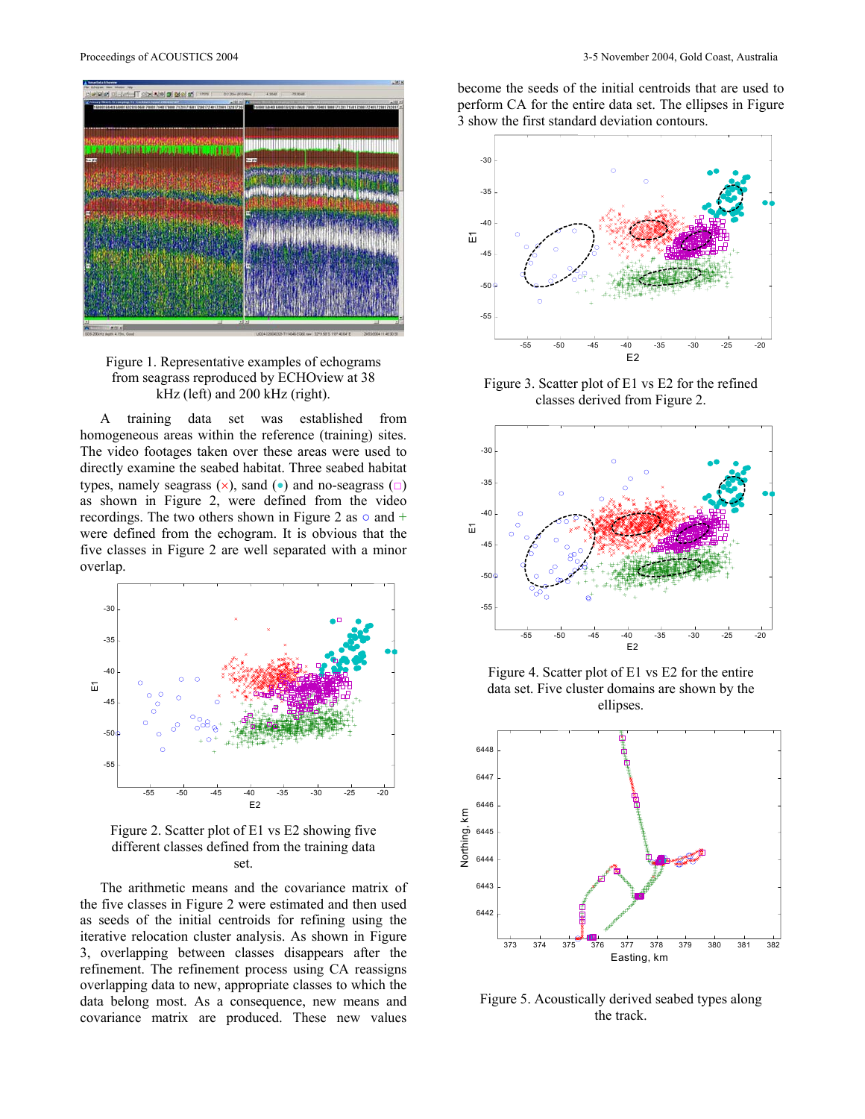



A training data set was established from homogeneous areas within the reference (training) sites. The video footages taken over these areas were used to directly examine the seabed habitat. Three seabed habitat types, namely seagrass  $(\times)$ , sand (•) and no-seagrass  $(\square)$ as shown in Figure 2, were defined from the video recordings. The two others shown in Figure 2 as  $\circ$  and  $+$ were defined from the echogram. It is obvious that the five classes in Figure 2 are well separated with a minor overlap.



Figure 2. Scatter plot of E1 vs E2 showing five different classes defined from the training data set.

The arithmetic means and the covariance matrix of the five classes in Figure 2 were estimated and then used as seeds of the initial centroids for refining using the iterative relocation cluster analysis. As shown in Figure 3, overlapping between classes disappears after the refinement. The refinement process using CA reassigns overlapping data to new, appropriate classes to which the data belong most. As a consequence, new means and covariance matrix are produced. These new values

become the seeds of the initial centroids that are used to perform CA for the entire data set. The ellipses in Figure 3 show the first standard deviation contours.



Figure 3. Scatter plot of E1 vs E2 for the refined classes derived from Figure 2.



Figure 4. Scatter plot of E1 vs E2 for the entire data set. Five cluster domains are shown by the ellipses.



Figure 5. Acoustically derived seabed types along the track.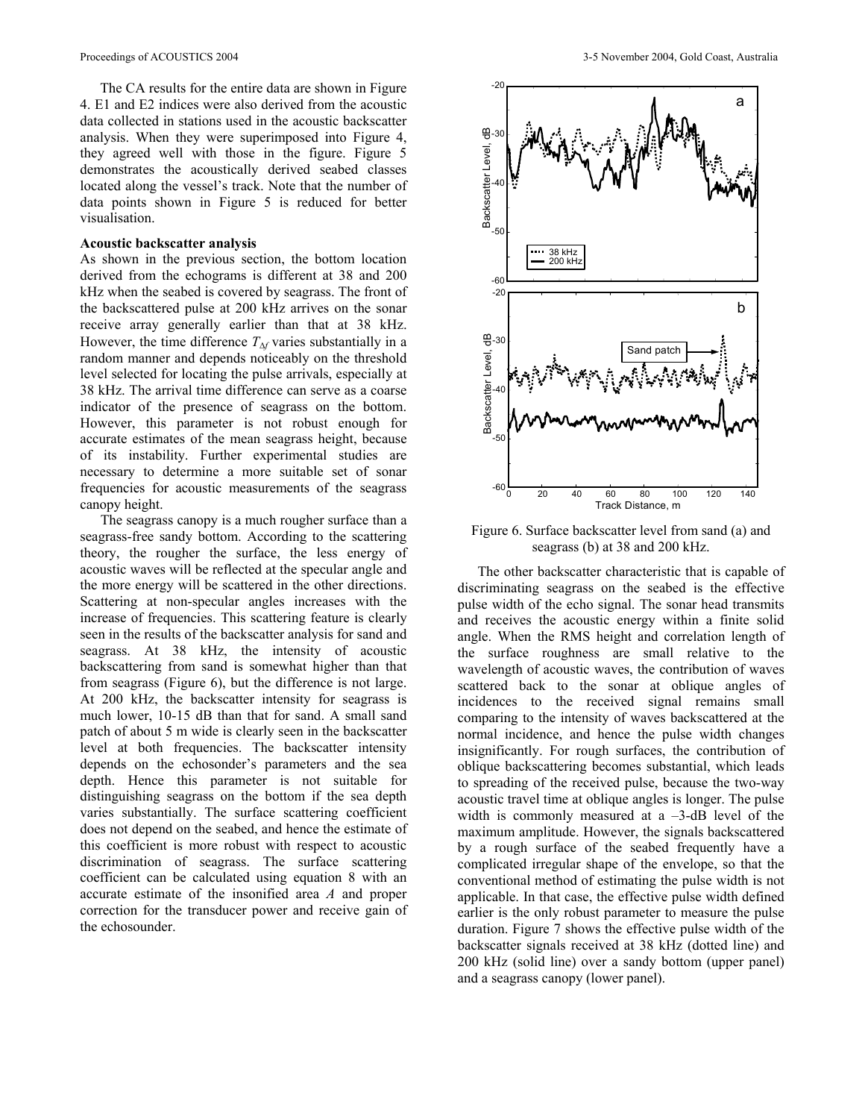The CA results for the entire data are shown in Figure 4. E1 and E2 indices were also derived from the acoustic data collected in stations used in the acoustic backscatter analysis. When they were superimposed into Figure 4, they agreed well with those in the figure. Figure 5 demonstrates the acoustically derived seabed classes located along the vessel's track. Note that the number of data points shown in Figure 5 is reduced for better visualisation.

#### **Acoustic backscatter analysis**

As shown in the previous section, the bottom location derived from the echograms is different at 38 and 200 kHz when the seabed is covered by seagrass. The front of the backscattered pulse at 200 kHz arrives on the sonar receive array generally earlier than that at 38 kHz. However, the time difference  $T_{\Delta f}$  varies substantially in a random manner and depends noticeably on the threshold level selected for locating the pulse arrivals, especially at 38 kHz. The arrival time difference can serve as a coarse indicator of the presence of seagrass on the bottom. However, this parameter is not robust enough for accurate estimates of the mean seagrass height, because of its instability. Further experimental studies are necessary to determine a more suitable set of sonar frequencies for acoustic measurements of the seagrass canopy height.

The seagrass canopy is a much rougher surface than a seagrass-free sandy bottom. According to the scattering theory, the rougher the surface, the less energy of acoustic waves will be reflected at the specular angle and the more energy will be scattered in the other directions. Scattering at non-specular angles increases with the increase of frequencies. This scattering feature is clearly seen in the results of the backscatter analysis for sand and seagrass. At 38 kHz, the intensity of acoustic backscattering from sand is somewhat higher than that from seagrass (Figure 6), but the difference is not large. At 200 kHz, the backscatter intensity for seagrass is much lower, 10-15 dB than that for sand. A small sand patch of about 5 m wide is clearly seen in the backscatter level at both frequencies. The backscatter intensity depends on the echosonder's parameters and the sea depth. Hence this parameter is not suitable for distinguishing seagrass on the bottom if the sea depth varies substantially. The surface scattering coefficient does not depend on the seabed, and hence the estimate of this coefficient is more robust with respect to acoustic discrimination of seagrass. The surface scattering coefficient can be calculated using equation 8 with an accurate estimate of the insonified area *A* and proper correction for the transducer power and receive gain of the echosounder.



Figure 6. Surface backscatter level from sand (a) and seagrass (b) at 38 and 200 kHz.

The other backscatter characteristic that is capable of discriminating seagrass on the seabed is the effective pulse width of the echo signal. The sonar head transmits and receives the acoustic energy within a finite solid angle. When the RMS height and correlation length of the surface roughness are small relative to the wavelength of acoustic waves, the contribution of waves scattered back to the sonar at oblique angles of incidences to the received signal remains small comparing to the intensity of waves backscattered at the normal incidence, and hence the pulse width changes insignificantly. For rough surfaces, the contribution of oblique backscattering becomes substantial, which leads to spreading of the received pulse, because the two-way acoustic travel time at oblique angles is longer. The pulse width is commonly measured at a  $-3$ -dB level of the maximum amplitude. However, the signals backscattered by a rough surface of the seabed frequently have a complicated irregular shape of the envelope, so that the conventional method of estimating the pulse width is not applicable. In that case, the effective pulse width defined earlier is the only robust parameter to measure the pulse duration. Figure 7 shows the effective pulse width of the backscatter signals received at 38 kHz (dotted line) and 200 kHz (solid line) over a sandy bottom (upper panel) and a seagrass canopy (lower panel).